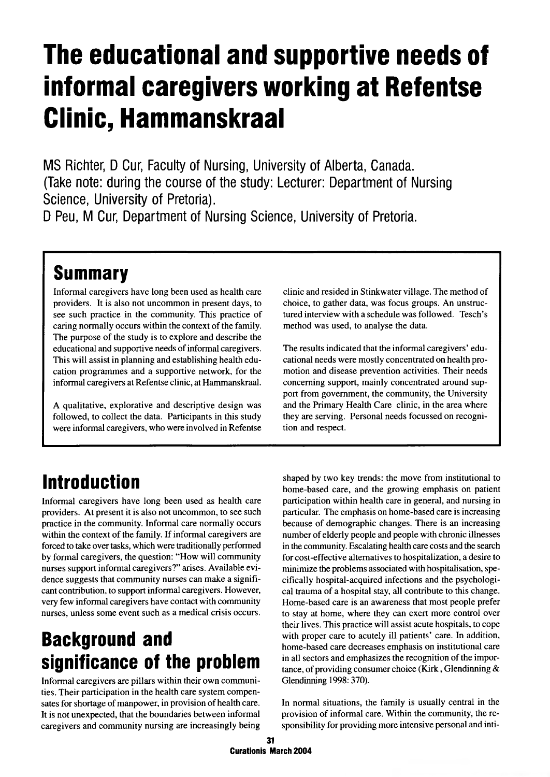# **The educational and supportive needs of informal caregivers working at Refentse Clinic, Hammanskraal**

**MS Richter, D Cur, Faculty of Nursing, University of Alberta, Canada. (Take note: during the course of the study: Lecturer: Department of Nursing Science, University of Pretoria).**

**D Peu, M Cur, Department of Nursing Science, University of Pretoria.**

### **Summary**

Informal caregivers have long been used as health care providers. It is also not uncommon in present days, to see such practice in the community. This practice of caring normally occurs within the context of the family. The purpose of the study is to explore and describe the educational and supportive needs of informal caregivers. This will assist in planning and establishing health education programmes and a supportive network, for the informal caregivers at Refentse clinic, at Hammanskraal.

A qualitative, explorative and descriptive design was followed, to collect the data. Participants in this study were informal caregivers, who were involved in Refentse clinic and resided in Stinkwater village. The method of choice, to gather data, was focus groups. An unstructured interview with a schedule was followed. Tesch's method was used, to analyse the data.

The results indicated that the informal caregivers' educational needs were mostly concentrated on health promotion and disease prevention activities. Their needs concerning support, mainly concentrated around support from government, the community, the University and the Primary Health Care clinic, in the area where they are serving. Personal needs focussed on recognition and respect.

### **Introduction**

Informal caregivers have long been used as health care providers. At present it is also not uncommon, to see such practice in the community. Informal care normally occurs within the context of the family. If informal caregivers are forced to take over tasks, which were traditionally performed by formal caregivers, the question: "How will community nurses support informal caregivers?" arises. Available evidence suggests that community nurses can make a significant contribution, to support informal caregivers. However, very few informal caregivers have contact with community nurses, unless some event such as a medical crisis occurs.

### **Background and significance of the problem**

Informal caregivers are pillars within their own communities. Their participation in the health care system compensates for shortage of manpower, in provision of health care. It is not unexpected, that the boundaries between informal caregivers and community nursing are increasingly being shaped by two key trends: the move from institutional to home-based care, and the growing emphasis on patient participation within health care in general, and nursing in particular. The emphasis on home-based care is increasing because of demographic changes. There is an increasing number of elderly people and people with chronic illnesses in the community. Escalating health care costs and the search for cost-effective alternatives to hospitalization, a desire to minimize the problems associated with hospitalisation, specifically hospital-acquired infections and the psychological trauma of a hospital stay, all contribute to this change. Home-based care is an awareness that most people prefer to stay at home, where they can exert more control over their lives. This practice will assist acute hospitals, to cope with proper care to acutely ill patients' care. In addition, home-based care decreases emphasis on institutional care in all sectors and emphasizes the recognition of the importance, of providing consumer choice (Kirk, Glendinning & Glendinning 1998:370).

In normal situations, the family is usually central in the provision of informal care. Within the community, the responsibility for providing more intensive personal and inti-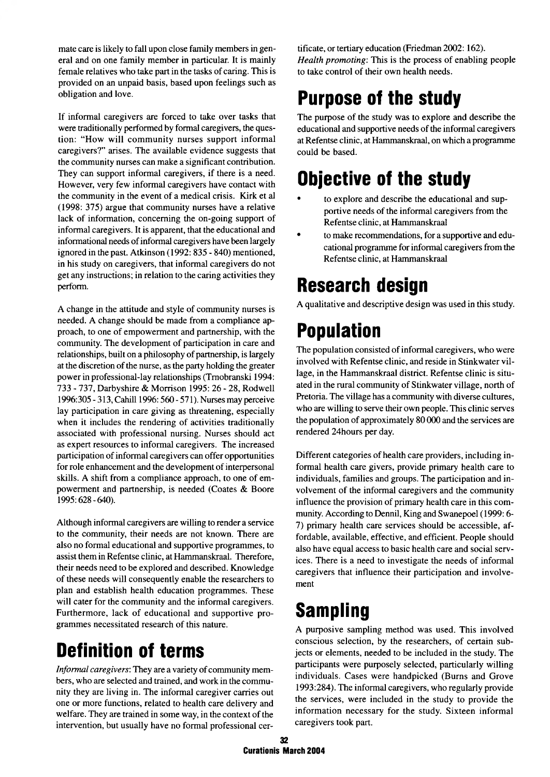mate care is likely to fall upon close family members in general and on one family member in particular. It is mainly female relatives who take part in the tasks of caring. This is provided on an unpaid basis, based upon feelings such as obligation and love.

If informal caregivers are forced to take over tasks that were traditionally performed by formal caregivers, the question: "How will community nurses support informal caregivers?" arises. The available evidence suggests that the community nurses can make a significant contribution. They can support informal caregivers, if there is a need. However, very few informal caregivers have contact with the community in the event of a medical crisis. Kirk et al (1998: 375) argue that community nurses have a relative lack of information, concerning the on-going support of informal caregivers. It is apparent, that the educational and informational needs of informal caregivers have been largely ignored in the past. Atkinson (1992: 835 - 840) mentioned, in his study on caregivers, that informal caregivers do not get any instructions; in relation to the caring activities they perform.

A change in the attitude and style of community nurses is needed. A change should be made from a compliance approach, to one of empowerment and partnership, with the community. The development of participation in care and relationships, built on a philosophy of partnership, is largely at the discretion of the nurse, as the party holding the greater power in professional-lay relationships (Tmobranski 1994: 733 - 737, Darbyshire & Morrison 1995: 26 - 28, Rodwell 1996:305 - 313, Cahill 1996:560 - 571). Nurses may perceive lay participation in care giving as threatening, especially when it includes the rendering of activities traditionally associated with professional nursing. Nurses should act as expert resources to informal caregivers. The increased participation of informal caregivers can offer opportunities for role enhancement and the development of interpersonal skills. A shift from a compliance approach, to one of empowerment and partnership, is needed (Coates & Boore 1995:628-640).

Although informal caregivers are willing to render a service to the community, their needs are not known. There are also no formal educational and supportive programmes, to assist them in Refentse clinic, at Hammanskraal. Therefore, their needs need to be explored and described. Knowledge of these needs will consequently enable the researchers to plan and establish health education programmes. These will cater for the community and the informal caregivers. Furthermore, lack of educational and supportive programmes necessitated research of this nature.

# **Definition of terms**

*Informal caregivers*: They are a variety of community members, who are selected and trained, and work in the community they are living in. The informal caregiver carries out one or more functions, related to health care delivery and welfare. They are trained in some way, in the context of the intervention, but usually have no formal professional certificate, or tertiary education (Friedman 2002:162). *Health promoting:* This is the process of enabling people to take control of their own health needs.

### **Purpose of the study**

The purpose of the study was to explore and describe the educational and supportive needs of the informal caregivers at Refentse clinic, at Hammanskraal, on which a programme could be based.

### **Objective of the study**

- to explore and describe the educational and supportive needs of the informal caregivers from the Refentse clinic, at Hammanskraal
- to make recommendations, for a supportive and educational programme for informal caregivers from the Refentse clinic, at Hammanskraal

### **Research design**

A qualitative and descriptive design was used in this study.

# **Population**

The population consisted of informal caregivers, who were involved with Refentse clinic, and reside in Stinkwater village, in the Hammanskraal district. Refentse clinic is situated in the rural community of Stinkwater village, north of Pretoria. The village has a community with diverse cultures, who are willing to serve their own people. This clinic serves the population of approximately 80 000 and the services are rendered 24hours per day.

Different categories of health care providers, including informal health care givers, provide primary health care to individuals, families and groups. The participation and involvement of the informal caregivers and the community influence the provision of primary health care in this community. According to Dennil, King and Swanepoel (1999:6- 7) primary health care services should be accessible, affordable, available, effective, and efficient. People should also have equal access to basic health care and social services. There is a need to investigate the needs of informal caregivers that influence their participation and involvement

### **Sampling**

A purposive sampling method was used. This involved conscious selection, by the researchers, of certain subjects or elements, needed to be included in the study. The participants were purposely selected, particularly willing individuals. Cases were handpicked (Bums and Grove 1993:284). The informal caregivers, who regularly provide the services, were included in the study to provide the information necessary for the study. Sixteen informal caregivers took part.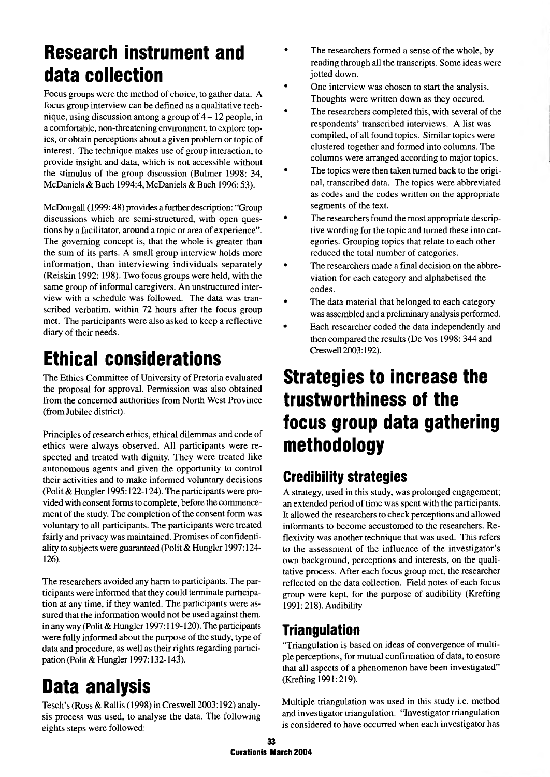### **Research instrument and data collection**

Focus groups were the method of choice, to gather data. A focus group interview can be defined as a qualitative technique, using discussion among a group of  $4 - 12$  people, in a comfortable, non-threatening environment, to explore topics, or obtain perceptions about a given problem or topic of interest. The technique makes use of group interaction, to provide insight and data, which is not accessible without the stimulus of the group discussion (Bulmer 1998: 34, McDaniels & Bach 1994:4, McDaniels & Bach 1996:53).

McDougall (1999:48) provides a further description: "Group discussions which are semi-structured, with open questions by a facilitator, around a topic or area of experience". The governing concept is, that the whole is greater than the sum of its parts. A small group interview holds more information, than interviewing individuals separately (Reiskin 1992: 198). Two focus groups were held, with the same group of informal caregivers. An unstructured interview with a schedule was followed. The data was transcribed verbatim, within 72 hours after the focus group met. The participants were also asked to keep a reflective diary of their needs.

# **Ethical considerations**

The Ethics Committee of University of Pretoria evaluated the proposal for approval. Permission was also obtained from the concerned authorities from North West Province (from Jubilee district).

Principles of research ethics, ethical dilemmas and code of ethics were always observed. All participants were respected and treated with dignity. They were treated like autonomous agents and given the opportunity to control their activities and to make informed voluntary decisions (Polit & Hungler 1995:122-124). The participants were provided with consent forms to complete, before the commencement of the study. The completion of the consent form was voluntary to all participants. The participants were treated fairly and privacy was maintained. Promises of confidentiality to subjects were guaranteed (Polit & Hungler 1997:124- 126).

The researchers avoided any harm to participants. The participants were informed that they could terminate participation at any time, if they wanted. The participants were assured that the information would not be used against them, in any way (Polit & Hungler 1997:119-120). The participants were fully informed about the purpose of the study, type of data and procedure, as well as their rights regarding participation (Polit & Hungler 1997:132-143).

### **Data analysis**

Tesch's (Ross & Rallis (1998) in Creswell 2003:192) analysis process was used, to analyse the data. The following eights steps were followed:

- The researchers formed a sense of the whole, by reading through all the transcripts. Some ideas were jotted down.
- One interview was chosen to start the analysis. Thoughts were written down as they occured.
- The researchers completed this, with several of the respondents' transcribed interviews. A list was compiled, of all found topics. Similar topics were clustered together and formed into columns. The columns were arranged according to major topics.
- The topics were then taken turned back to the original, transcribed data. The topics were abbreviated as codes and the codes written on the appropriate segments of the text.
- The researchers found the most appropriate descriptive wording for the topic and turned these into categories. Grouping topics that relate to each other reduced the total number of categories.
- The researchers made a final decision on the abbreviation for each category and alphabetised the codes.
- The data material that belonged to each category was assembled and a preliminary analysis performed.
- Each researcher coded the data independently and then compared the results (De Vos 1998: 344 and Creswell 2003:192).

### **Strategies to increase the trustworthiness of the focus group data gathering methodology**

### **Credibility strategies**

A strategy, used in this study, was prolonged engagement; an extended period of time was spent with the participants. It allowed the researchers to check perceptions and allowed informants to become accustomed to the researchers. Reflexivity was another technique that was used. This refers to the assessment of the influence of the investigator's own background, perceptions and interests, on the qualitative process. After each focus group met, the researcher reflected on the data collection. Field notes of each focus group were kept, for the purpose of audibility (Krefting 1991:218). Audibility

#### **Triangulation**

"Triangulation is based on ideas of convergence of multiple perceptions, for mutual confirmation of data, to ensure that all aspects of a phenomenon have been investigated" (Krefting 1991:219).

Multiple triangulation was used in this study i.e. method and investigator triangulation. "Investigator triangulation is considered to have occurred when each investigator has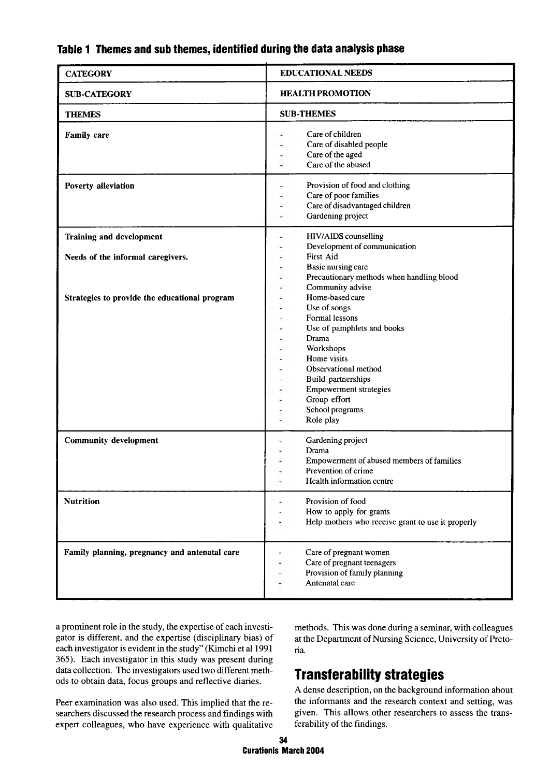| <b>CATEGORY</b>                                               | <b>EDUCATIONAL NEEDS</b>                                                                                                                                                                                                                                                                                                                   |  |
|---------------------------------------------------------------|--------------------------------------------------------------------------------------------------------------------------------------------------------------------------------------------------------------------------------------------------------------------------------------------------------------------------------------------|--|
| <b>SUB-CATEGORY</b>                                           | <b>HEALTH PROMOTION</b>                                                                                                                                                                                                                                                                                                                    |  |
| <b>THEMES</b>                                                 | <b>SUB-THEMES</b>                                                                                                                                                                                                                                                                                                                          |  |
| <b>Family care</b><br>Poverty alleviation                     | Care of children<br>Care of disabled people<br>Care of the aged<br>Care of the abused<br>Provision of food and clothing                                                                                                                                                                                                                    |  |
|                                                               | Care of poor families<br>Care of disadvantaged children<br>Gardening project<br>٠                                                                                                                                                                                                                                                          |  |
| Training and development<br>Needs of the informal caregivers. | HIV/AIDS counselling<br>Development of communication<br>۰.<br>First Aid<br>$\overline{\phantom{m}}$                                                                                                                                                                                                                                        |  |
| Strategies to provide the educational program                 | Basic nursing care<br>Precautionary methods when handling blood<br>Community advise<br>Home-based care<br>Use of songs<br>Formal lessons<br>Use of pamphlets and books<br>Drama<br>Workshops<br>Home visits<br>Observational method<br>Build partnerships<br><b>Empowerment strategies</b><br>Group effort<br>School programs<br>Role play |  |
| <b>Community development</b>                                  | Gardening project<br>Drama<br>Empowerment of abused members of families<br>Prevention of crime<br>Health information centre                                                                                                                                                                                                                |  |
| <b>Nutrition</b>                                              | Provision of food<br>How to apply for grants<br>Help mothers who receive grant to use it properly                                                                                                                                                                                                                                          |  |
| Family planning, pregnancy and antenatal care                 | Care of pregnant women<br>Care of pregnant teenagers<br>Provision of family planning<br>Antenatal care                                                                                                                                                                                                                                     |  |

#### **Table 1 Themes and sub themes, identified during the data analysis phase**

a prominent role in the study, the expertise of each investigator is different, and the expertise (disciplinary bias) of each investigator is evident in the study" (Kimchi et al 1991 365). Each investigator in this study was present during data collection. The investigators used two different methods to obtain data, focus groups and reflective diaries.

Peer examination was also used. This implied that the researchers discussed the research process and findings with expert colleagues, who have experience with qualitative methods. This was done during a seminar, with colleagues at the Department of Nursing Science, University of Pretoria.

### **Transferability strategies**

A dense description, on the background information about the informants and the research context and setting, was given. This allows other researchers to assess the transferability of the findings.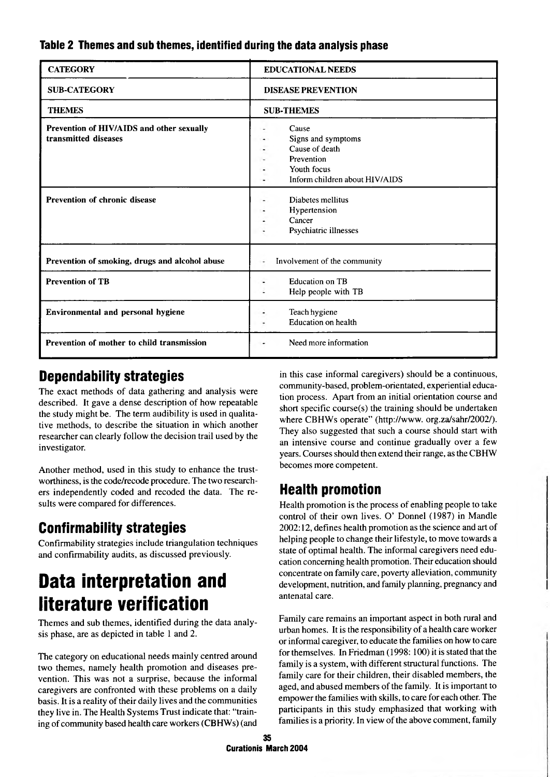#### **Table 2 Themes and sub themes, identified during the data analysis phase**

| <b>CATEGORY</b>                                                   | <b>EDUCATIONAL NEEDS</b>                                                                                     |
|-------------------------------------------------------------------|--------------------------------------------------------------------------------------------------------------|
| <b>SUB-CATEGORY</b>                                               | <b>DISEASE PREVENTION</b>                                                                                    |
| <b>THEMES</b>                                                     | <b>SUB-THEMES</b>                                                                                            |
| Prevention of HIV/AIDS and other sexually<br>transmitted diseases | Cause<br>Signs and symptoms<br>Cause of death<br>Prevention<br>Youth focus<br>Inform children about HIV/AIDS |
| <b>Prevention of chronic disease</b>                              | Diabetes mellitus<br>Hypertension<br>Cancer<br>Psychiatric illnesses                                         |
| Prevention of smoking, drugs and alcohol abuse                    | Involvement of the community<br>٠                                                                            |
| <b>Prevention of TB</b>                                           | <b>Education on TB</b><br>Help people with TB                                                                |
| Environmental and personal hygiene                                | Teach hygiene<br><b>Education</b> on health                                                                  |
| Prevention of mother to child transmission                        | Need more information                                                                                        |

#### **Dependability strategies**

The exact methods of data gathering and analysis were described. It gave a dense description of how repeatable the study might be. The term audibility is used in qualitative methods, to describe the situation in which another researcher can clearly follow the decision trail used by the investigator.

Another method, used in this study to enhance the trustworthiness, is the code/recode procedure. The two researchers independently coded and recoded the data. The results were compared for differences.

### **Confirmability strategies**

Confirmability strategies include triangulation techniques and confirmability audits, as discussed previously.

### **Data interpretation and literature verification**

Themes and sub themes, identified during the data analysis phase, are as depicted in table 1 and 2.

The category on educational needs mainly centred around two themes, namely health promotion and diseases prevention. This was not a surprise, because the informal caregivers are confronted with these problems on a daily basis. It is a reality of their daily lives and the communities they live in. The Health Systems Trust indicate that: "training of community based health care workers (CBHWs) (and

in this case informal caregivers) should be a continuous, community-based, problem-orientated, experiential education process. Apart from an initial orientation course and short specific course(s) the training should be undertaken where CBHWs operate" (<http://www>. org.za/sahr/2002/). They also suggested that such a course should start with an intensive course and continue gradually over a few years. Courses should then extend their range, as the CBHW becomes more competent.

### **Health promotion**

Health promotion is the process of enabling people to take control of their own lives. O' Donnel (1987) in Mandle 2002:12, defines health promotion as the science and art of helping people to change their lifestyle, to move towards a state of optimal health. The informal caregivers need education concerning health promotion. Their education should concentrate on family care, poverty alleviation, community development, nutrition, and family planning, pregnancy and antenatal care.

Family care remains an important aspect in both rural and urban homes. It is the responsibility of a health care worker or informal caregiver, to educate the families on how to care for themselves. In Friedman (1998: 100) it is stated that the family is a system, with different structural functions. The family care for their children, their disabled members, the aged, and abused members of the family. It is important to empower the families with skills, to care for each other. The participants in this study emphasized that working with families is a priority. In view of the above comment, family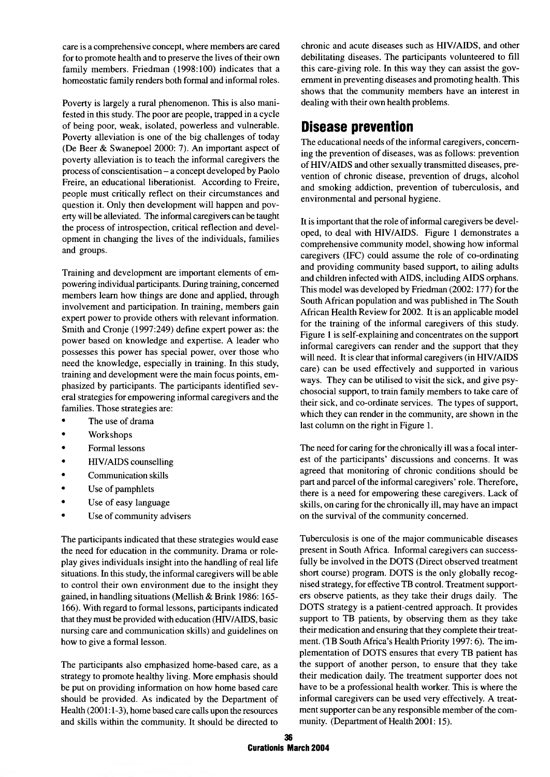care is a comprehensive concept, where members are cared for to promote health and to preserve the lives of their own family members. Friedman (1998:100) indicates that a homeostatic family renders both formal and informal roles.

Poverty is largely a rural phenomenon. This is also manifested in this study. The poor are people, trapped in a cycle of being poor, weak, isolated, powerless and vulnerable. Poverty alleviation is one of the big challenges of today (De Beer & Swanepoel 2000: 7). An important aspect of poverty alleviation is to teach the informal caregivers the process of conscientisation - a concept developed by Paolo Freire, an educational liberationist. According to Freire, people must critically reflect on their circumstances and question it. Only then development will happen and poverty will be alleviated. The informal caregivers can be taught the process of introspection, critical reflection and development in changing the lives of the individuals, families and groups.

Training and development are important elements of empowering individual participants. During training, concerned members learn how things are done and applied, through involvement and participation. In training, members gain expert power to provide others with relevant information. Smith and Cronje (1997:249) define expert power as: the power based on knowledge and expertise. A leader who possesses this power has special power, over those who need the knowledge, especially in training. In this study, training and development were the main focus points, emphasized by participants. The participants identified several strategies for empowering informal caregivers and the families. Those strategies are:

- The use of drama
- Workshops
- Formal lessons
- HIV/AIDS counselling
- Communication skills
- Use of pamphlets
- Use of easy language
- Use of community advisers

The participants indicated that these strategies would ease the need for education in the community. Drama or roleplay gives individuals insight into the handling of real life situations. In this study, the informal caregivers will be able to control their own environment due to the insight they gained, in handling situations (Mellish & Brink 1986: 165-166). With regard to formal lessons, participants indicated that they must be provided with education (HIV/AIDS, basic nursing care and communication skills) and guidelines on how to give a formal lesson.

The participants also emphasized home-based care, as a strategy to promote healthy living. More emphasis should be put on providing information on how home based care should be provided. As indicated by the Department of Health (2001:1-3), home based care calls upon the resources and skills within the community. It should be directed to chronic and acute diseases such as HIV/AIDS, and other debilitating diseases. The participants volunteered to fill this care-giving role. In this way they can assist the government in preventing diseases and promoting health. This shows that the community members have an interest in dealing with their own health problems.

#### **Disease prevention**

The educational needs of the informal caregivers, concerning the prevention of diseases, was as follows: prevention of HIV/AIDS and other sexually transmitted diseases, prevention of chronic disease, prevention of drugs, alcohol and smoking addiction, prevention of tuberculosis, and environmental and personal hygiene.

It is important that the role of informal caregivers be developed, to deal with HIV/AIDS. Figure 1 demonstrates a comprehensive community model, showing how informal caregivers (IFC) could assume the role of co-ordinating and providing community based support, to ailing adults and children infected with AIDS, including AIDS orphans. This model was developed by Friedman (2002:177) for the South African population and was published in The South African Health Review for 2002. It is an applicable model for the training of the informal caregivers of this study. Figure 1 is self-explaining and concentrates on the support informal caregivers can render and the support that they will need. It is clear that informal caregivers (in HIV/AIDS care) can be used effectively and supported in various ways. They can be utilised to visit the sick, and give psychosocial support, to train family members to take care of their sick, and co-ordinate services. The types of support, which they can render in the community, are shown in the last column on the right in Figure 1.

The need for caring for the chronically ill was a focal interest of the participants' discussions and concerns. It was agreed that monitoring of chronic conditions should be part and parcel of the informal caregivers' role. Therefore, there is a need for empowering these caregivers. Lack of skills, on caring for the chronically ill, may have an impact on the survival of the community concerned.

Tuberculosis is one of the major communicable diseases present in South Africa. Informal caregivers can successfully be involved in the DOTS (Direct observed treatment short course) program. DOTS is the only globally recognised strategy, for effective TB control. Treatment supporters observe patients, as they take their drugs daily. The DOTS strategy is a patient-centred approach. It provides support to TB patients, by observing them as they take their medication and ensuring that they complete their treatment. (TB South Africa's Health Priority 1997: 6). The implementation of DOTS ensures that every TB patient has the support of another person, to ensure that they take their medication daily. The treatment supporter does not have to be a professional health worker. This is where the informal caregivers can be used very effectively. A treatment supporter can be any responsible member of the community. (Department of Health 2001: 15).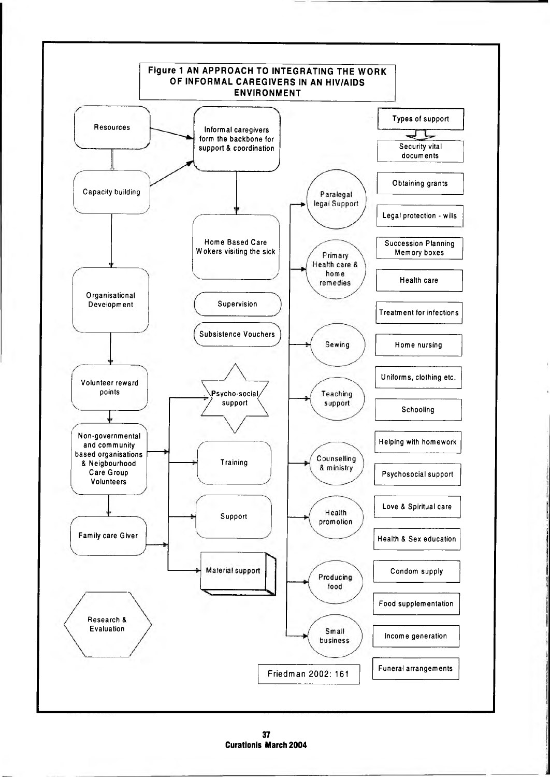

**37 Curationis March 2004**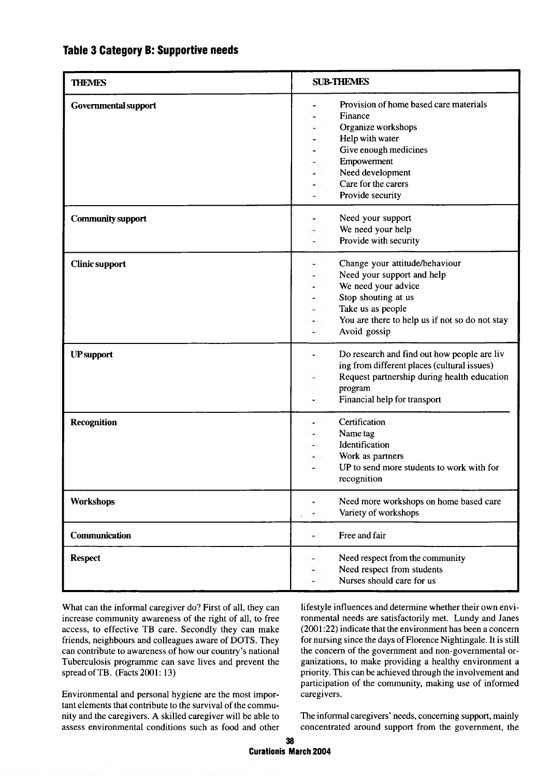#### **Table 3 Category B: Supportive needs**

| <b>THEMES</b>            | <b>SUB-THEMES</b>                                                                                                                                                                                 |
|--------------------------|---------------------------------------------------------------------------------------------------------------------------------------------------------------------------------------------------|
| Governmental support     | Provision of home based care materials<br>Finance<br>Organize workshops<br>Help with water<br>Give enough medicines<br>Empowerment<br>Need development<br>Care for the carers<br>Provide security |
| <b>Community support</b> | Need your support<br>We need your help<br>Provide with security                                                                                                                                   |
| <b>Clinic support</b>    | Change your attitude/behaviour<br>Need your support and help<br>We need your advice<br>Stop shouting at us<br>Take us as people<br>You are there to help us if not so do not stay<br>Avoid gossip |
| <b>UP</b> support        | Do research and find out how people are liv<br>ing from different places (cultural issues)<br>Request partnership during health education<br>program<br>Financial help for transport              |
| <b>Recognition</b>       | Certification<br>Name tag<br>Identification<br>Work as partners<br>UP to send more students to work with for<br>recognition                                                                       |
| <b>Workshops</b>         | Need more workshops on home based care<br>٠<br>Variety of workshops                                                                                                                               |
| <b>Communication</b>     | Free and fair<br>$\overline{a}$                                                                                                                                                                   |
| <b>Respect</b>           | Need respect from the community<br>Need respect from students<br>Nurses should care for us                                                                                                        |

What can the informal caregiver do? First of all, they can increase community awareness of the right of all, to free access, to effective TB care. Secondly they can make friends, neighbours and colleagues aware of DOTS. They can contribute to awareness of how our country's national Tuberculosis programme can save lives and prevent the spread of TB. (Facts 2001: 13)

Environmental and personal hygiene are the most important elements that contribute to the survival of the community and the caregivers. A skilled caregiver will be able to assess environmental conditions such as food and other

lifestyle influences and determine whether their own environmental needs are satisfactorily met. Lundy and Janes (2001:22) indicate that the environment has been a concern for nursing since the days of Florence Nightingale. It is still the concern of the government and non-governmental organizations, to make providing a healthy environment a priority. This can be achieved through the involvement and participation of the community, making use of informed caregivers.

The informal caregivers' needs, concerning support, mainly concentrated around support from the government, the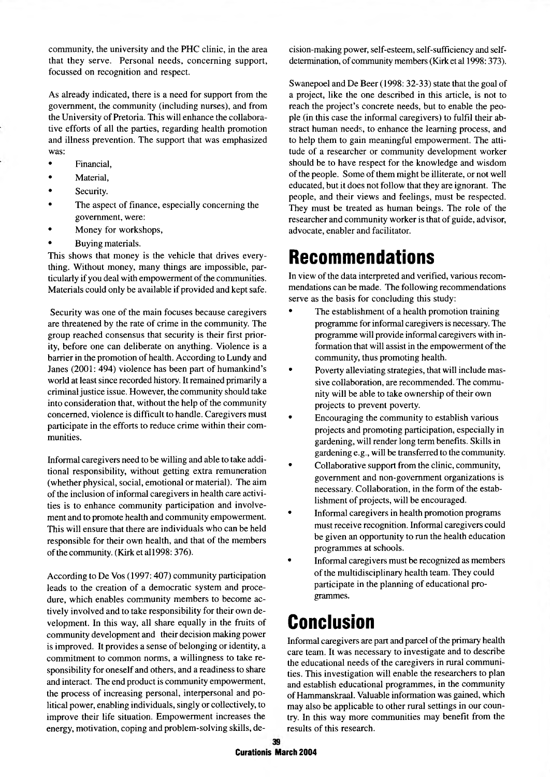community, the university and the PHC clinic, in the area that they serve. Personal needs, concerning support, focussed on recognition and respect.

As already indicated, there is a need for support from the government, the community (including nurses), and from the University of Pretoria. This will enhance the collaborative efforts of all the parties, regarding health promotion and illness prevention. The support that was emphasized was:

- Financial,
- Material,
- Security.
- The aspect of finance, especially concerning the government, were:
- Money for workshops,
- Buying materials.

This shows that money is the vehicle that drives everything. Without money, many things are impossible, particularly if you deal with empowerment of the communities. Materials could only be available if provided and kept safe.

Security was one of the main focuses because caregivers are threatened by the rate of crime in the community. The group reached consensus that security is their first priority, before one can deliberate on anything. Violence is a barrier in the promotion of health. According to Lundy and Janes (2001: 494) violence has been part of humankind's world at least since recorded history. It remained primarily a criminal justice issue. However, the community should take into consideration that, without the help of the community concerned, violence is difficult to handle. Caregivers must participate in the efforts to reduce crime within their communities.

Informal caregivers need to be willing and able to take additional responsibility, without getting extra remuneration (whether physical, social, emotional or material). The aim of the inclusion of informal caregivers in health care activities is to enhance community participation and involvement and to promote health and community empowerment. This will ensure that there are individuals who can be held responsible for their own health, and that of the members of the community. (Kirk etal 1998: 376).

According to De Vos (1997:407) community participation leads to the creation of a democratic system and procedure, which enables community members to become actively involved and to take responsibility for their own development. In this way, all share equally in the fruits of community development and their decision making power is improved. It provides a sense of belonging or identity, a commitment to common norms, a willingness to take responsibility for oneself and others, and a readiness to share and interact. The end product is community empowerment, the process of increasing personal, interpersonal and political power, enabling individuals, singly or collectively, to improve their life situation. Empowerment increases the energy, motivation, coping and problem-solving skills, decision-making power, self-esteem, self-sufficiency and selfdetermination, of community members (Kirk et al 1998: 373).

Swanepoel and De Beer (1998: 32-33) state that the goal of a project, like the one described in this article, is not to reach the project's concrete needs, but to enable the people (in this case the informal caregivers) to fulfil their abstract human needs, to enhance the learning process, and to help them to gain meaningful empowerment. The attitude of a researcher or community development worker should be to have respect for the knowledge and wisdom of the people. Some of them might be illiterate, or not well educated, but it does not follow that they are ignorant. The people, and their views and feelings, must be respected. They must be treated as human beings. The role of the researcher and community worker is that of guide, advisor, advocate, enabler and facilitator.

### **Recommendations**

In view of the data interpreted and verified, various recommendations can be made. The following recommendations serve as the basis for concluding this study:

- The establishment of a health promotion training programme for informal caregivers is necessary. The programme will provide informal caregivers with information that will assist in the empowerment of the community, thus promoting health.
- Poverty alleviating strategies, that will include massive collaboration, are recommended. The community will be able to take ownership of their own projects to prevent poverty.
- Encouraging the community to establish various projects and promoting participation, especially in gardening, will render long term benefits. Skills in gardening e.g., will be transferred to the community.
- Collaborative support from the clinic, community, government and non-government organizations is necessary. Collaboration, in the form of the establishment of projects, will be encouraged.
- Informal caregivers in health promotion programs must receive recognition. Informal caregivers could be given an opportunity to run the health education programmes at schools.
- Informal caregivers must be recognized as members of the multidisciplinary health team. They could participate in the planning of educational programmes.

### **Conclusion**

Informal caregivers are part and parcel of the primary health care team. It was necessary to investigate and to describe the educational needs of the caregivers in rural communities. This investigation will enable the researchers to plan and establish educational programmes, in the community of Hammanskraal. Valuable information was gained, which may also be applicable to other rural settings in our country. In this way more communities may benefit from the results of this research.